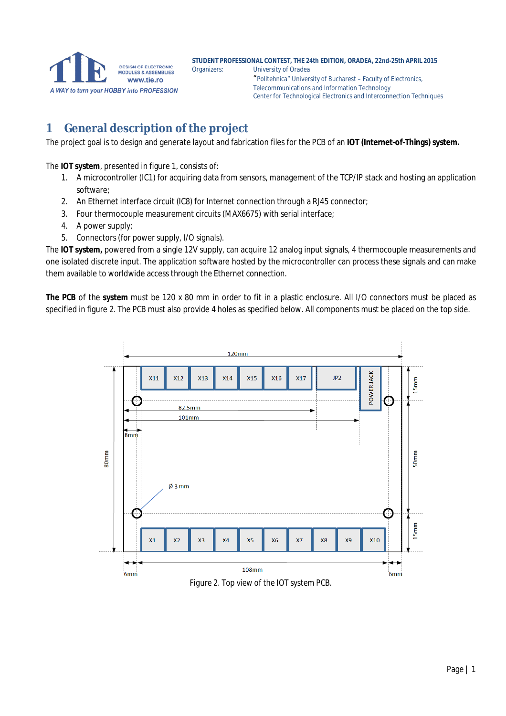**STUDENT PROFESSIONAL CONTEST, THE 24th EDITION, ORADEA, 22nd-25th APRIL 2015 University of Oradea** "Politehnica" University of Bucharest – Faculty of Electronics, Telecommunications and Information Technology Center for Technological Electronics and Interconnection Techniques

### **1 General description of the project**

The project goal is to design and generate layout and fabrication files for the PCB of an **IOT (Internet-of-Things) system.**

The **IOT system**, presented in figure 1, consists of:

- 1. A microcontroller (IC1) for acquiring data from sensors, management of the TCP/IP stack and hosting an application software;
- 2. An Ethernet interface circuit (IC8) for Internet connection through a RJ45 connector;
- 3. Four thermocouple measurement circuits (MAX6675) with serial interface;
- 4. A power supply;
- 5. Connectors (for power supply, I/O signals).

The **IOT system,** powered from a single 12V supply, can acquire 12 analog input signals, 4 thermocouple measurements and one isolated discrete input. The application software hosted by the microcontroller can process these signals and can make them available to worldwide access through the Ethernet connection.

**The PCB** of the **system** must be 120 x 80 mm in order to fit in a plastic enclosure. All I/O connectors must be placed as specified in figure 2. The PCB must also provide 4 holes as specified below. All components must be placed on the top side.



*Figure 2. Top view of the IOT system PCB.*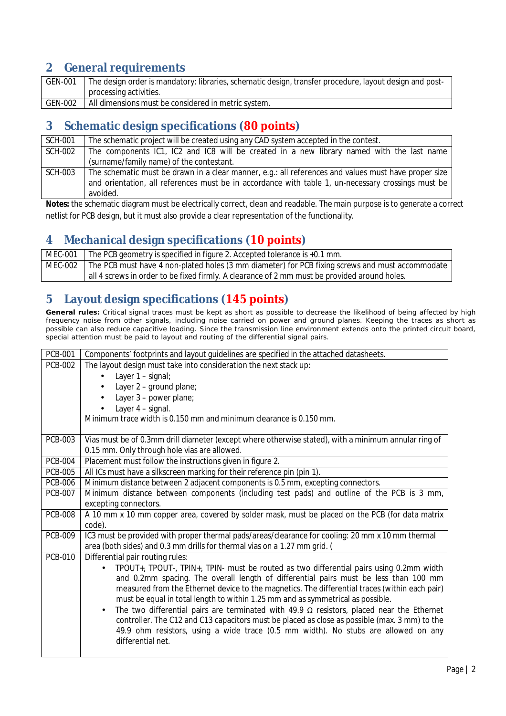#### **2 General requirements**

| <b>GEN-001</b> | The design order is mandatory: libraries, schematic design, transfer procedure, layout design and post- |  |  |
|----------------|---------------------------------------------------------------------------------------------------------|--|--|
|                | processing activities.                                                                                  |  |  |
| <b>GEN-002</b> | All dimensions must be considered in metric system.                                                     |  |  |

#### **3 Schematic design specifications (80 points)**

| <b>SCH-001</b> | The schematic project will be created using any CAD system accepted in the contest.                  |  |  |  |  |
|----------------|------------------------------------------------------------------------------------------------------|--|--|--|--|
| <b>SCH-002</b> | The components IC1, IC2 and IC8 will be created in a new library named with the last name            |  |  |  |  |
|                | (surname/family name) of the contestant.                                                             |  |  |  |  |
| <b>SCH-003</b> | The schematic must be drawn in a clear manner, e.g.: all references and values must have proper size |  |  |  |  |
|                | and orientation, all references must be in accordance with table 1, un-necessary crossings must be   |  |  |  |  |
|                | avoided.                                                                                             |  |  |  |  |

**Notes:** the schematic diagram must be electrically correct, clean and readable. The main purpose is to generate a correct netlist for PCB design, but it must also provide a clear representation of the functionality.

#### **4 Mechanical design specifications (10 points)**

| MEC-001 | The PCB geometry is specified in figure 2. Accepted tolerance is $+0.1$ mm.                               |  |  |
|---------|-----------------------------------------------------------------------------------------------------------|--|--|
|         | MEC-002   The PCB must have 4 non-plated holes (3 mm diameter) for PCB fixing screws and must accommodate |  |  |
|         | all 4 screws in order to be fixed firmly. A clearance of 2 mm must be provided around holes.              |  |  |

#### **5 Layout design specifications (145 points)**

**General rules:** Critical signal traces must be kept as short as possible to decrease the likelihood of being affected by high frequency noise from other signals, including noise carried on power and ground planes. Keeping the traces as short as possible can also reduce capacitive loading. Since the transmission line environment extends onto the printed circuit board, special attention must be paid to layout and routing of the differential signal pairs.

| <b>PCB-001</b> | Components' footprints and layout guidelines are specified in the attached datasheets.                    |  |  |  |  |
|----------------|-----------------------------------------------------------------------------------------------------------|--|--|--|--|
| <b>PCB-002</b> | The layout design must take into consideration the next stack up:                                         |  |  |  |  |
|                | Layer 1 - signal;                                                                                         |  |  |  |  |
|                | Layer 2 - ground plane;                                                                                   |  |  |  |  |
|                | Layer 3 - power plane;                                                                                    |  |  |  |  |
|                | Layer 4 - signal.                                                                                         |  |  |  |  |
|                | Minimum trace width is 0.150 mm and minimum clearance is 0.150 mm.                                        |  |  |  |  |
| <b>PCB-003</b> | Vias must be of 0.3mm drill diameter (except where otherwise stated), with a minimum annular ring of      |  |  |  |  |
|                | 0.15 mm. Only through hole vias are allowed.                                                              |  |  |  |  |
| <b>PCB-004</b> | Placement must follow the instructions given in figure 2.                                                 |  |  |  |  |
| <b>PCB-005</b> | All ICs must have a silkscreen marking for their reference pin (pin 1).                                   |  |  |  |  |
| <b>PCB-006</b> | Minimum distance between 2 adjacent components is 0.5 mm, excepting connectors.                           |  |  |  |  |
| <b>PCB-007</b> | Minimum distance between components (including test pads) and outline of the PCB is 3 mm,                 |  |  |  |  |
|                | excepting connectors.                                                                                     |  |  |  |  |
| <b>PCB-008</b> | A 10 mm x 10 mm copper area, covered by solder mask, must be placed on the PCB (for data matrix<br>code). |  |  |  |  |
| <b>PCB-009</b> | IC3 must be provided with proper thermal pads/areas/clearance for cooling: 20 mm x 10 mm thermal          |  |  |  |  |
|                | area (both sides) and 0.3 mm drills for thermal vias on a 1.27 mm grid. (                                 |  |  |  |  |
| <b>PCB-010</b> | Differential pair routing rules:                                                                          |  |  |  |  |
|                | TPOUT+, TPOUT-, TPIN+, TPIN- must be routed as two differential pairs using 0.2mm width                   |  |  |  |  |
|                | and 0.2mm spacing. The overall length of differential pairs must be less than 100 mm                      |  |  |  |  |
|                | measured from the Ethernet device to the magnetics. The differential traces (within each pair)            |  |  |  |  |
|                | must be equal in total length to within 1.25 mm and as symmetrical as possible.                           |  |  |  |  |
|                | The two differential pairs are terminated with 49.9 $\Omega$ resistors, placed near the Ethernet<br>×,    |  |  |  |  |
|                | controller. The C12 and C13 capacitors must be placed as close as possible (max. 3 mm) to the             |  |  |  |  |
|                | 49.9 ohm resistors, using a wide trace (0.5 mm width). No stubs are allowed on any<br>differential net.   |  |  |  |  |
|                |                                                                                                           |  |  |  |  |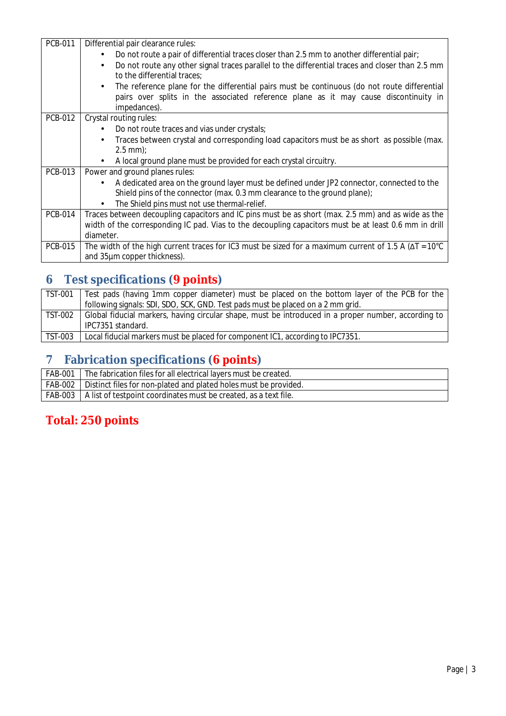| <b>PCB-011</b> | Differential pair clearance rules:                                                                                   |  |  |  |  |  |
|----------------|----------------------------------------------------------------------------------------------------------------------|--|--|--|--|--|
|                | Do not route a pair of differential traces closer than 2.5 mm to another differential pair;                          |  |  |  |  |  |
|                | Do not route any other signal traces parallel to the differential traces and closer than 2.5 mm<br>×.                |  |  |  |  |  |
|                | to the differential traces;                                                                                          |  |  |  |  |  |
|                | The reference plane for the differential pairs must be continuous (do not route differential<br>$\blacksquare$       |  |  |  |  |  |
|                | pairs over splits in the associated reference plane as it may cause discontinuity in                                 |  |  |  |  |  |
|                | impedances).                                                                                                         |  |  |  |  |  |
| <b>PCB-012</b> | Crystal routing rules:                                                                                               |  |  |  |  |  |
|                | Do not route traces and vias under crystals;                                                                         |  |  |  |  |  |
|                | Traces between crystal and corresponding load capacitors must be as short as possible (max.                          |  |  |  |  |  |
|                | $2.5$ mm $);$                                                                                                        |  |  |  |  |  |
|                | A local ground plane must be provided for each crystal circuitry.                                                    |  |  |  |  |  |
| <b>PCB-013</b> | Power and ground planes rules:                                                                                       |  |  |  |  |  |
|                | A dedicated area on the ground layer must be defined under JP2 connector, connected to the                           |  |  |  |  |  |
|                | Shield pins of the connector (max. 0.3 mm clearance to the ground plane);                                            |  |  |  |  |  |
|                | The Shield pins must not use thermal-relief.                                                                         |  |  |  |  |  |
| <b>PCB-014</b> | Traces between decoupling capacitors and IC pins must be as short (max. 2.5 mm) and as wide as the                   |  |  |  |  |  |
|                | width of the corresponding IC pad. Vias to the decoupling capacitors must be at least 0.6 mm in drill                |  |  |  |  |  |
|                | diameter.                                                                                                            |  |  |  |  |  |
| <b>PCB-015</b> | The width of the high current traces for IC3 must be sized for a maximum current of 1.5 A ( $\Delta T = 10^{\circ}C$ |  |  |  |  |  |
|                | and 35µm copper thickness).                                                                                          |  |  |  |  |  |

# **6 Test specifications (9 points)**

| TST-001 | Test pads (having 1mm copper diameter) must be placed on the bottom layer of the PCB for the        |  |  |  |
|---------|-----------------------------------------------------------------------------------------------------|--|--|--|
|         | following signals: SDI, SDO, SCK, GND. Test pads must be placed on a 2 mm grid.                     |  |  |  |
| TST-002 | Global fiducial markers, having circular shape, must be introduced in a proper number, according to |  |  |  |
|         | IPC7351 standard.                                                                                   |  |  |  |
| TST-003 | Local fiducial markers must be placed for component IC1, according to IPC7351.                      |  |  |  |

## **7 Fabrication specifications (6 points)**

| <b>FAB-001</b> | The fabrication files for all electrical layers must be created.           |
|----------------|----------------------------------------------------------------------------|
|                | FAB-002   Distinct files for non-plated and plated holes must be provided. |
|                | FAB-003   A list of testpoint coordinates must be created, as a text file. |

## **Total: 250 points**